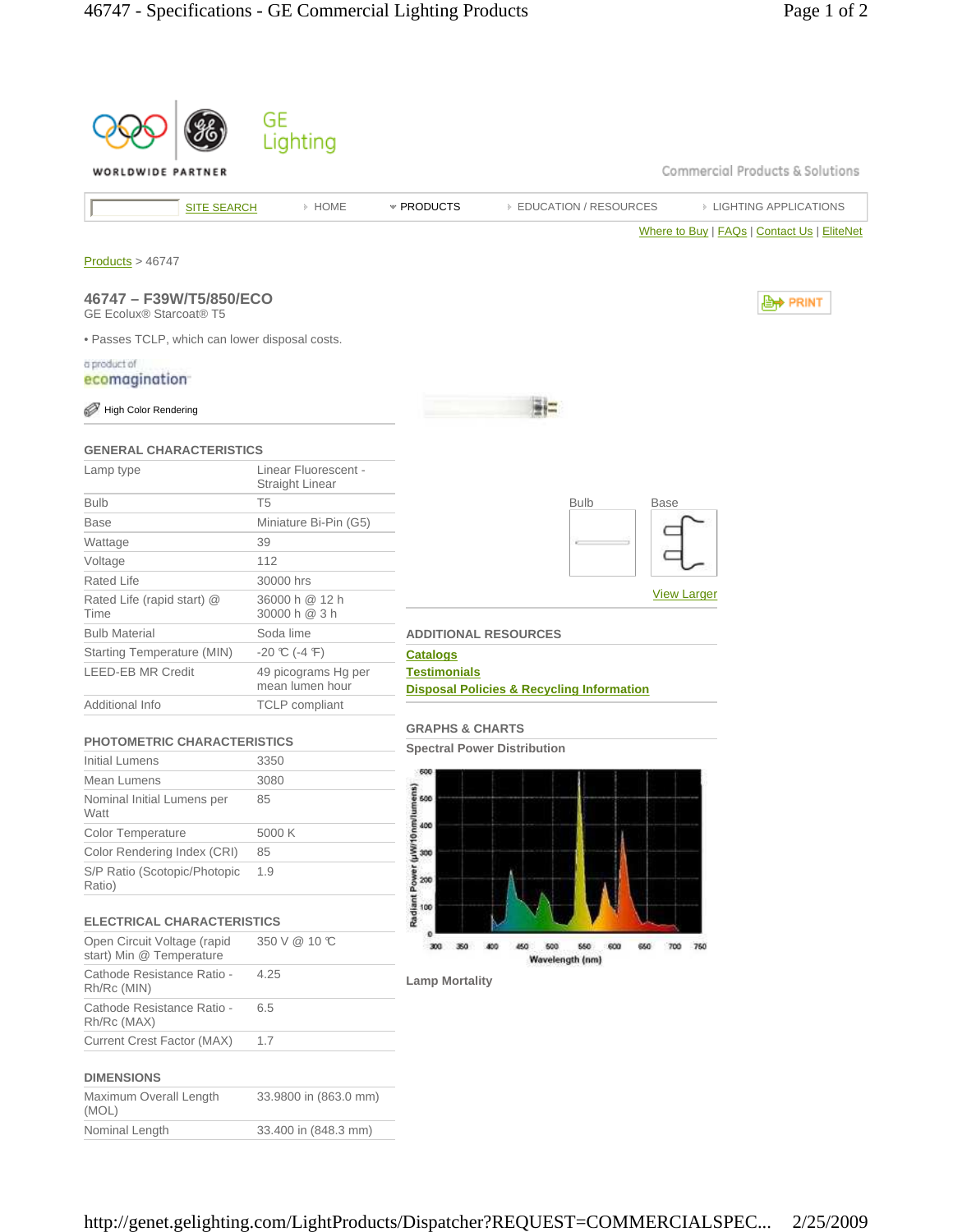|                                                         | GE<br>Lighting                          |                                      |                                                      |                                             |
|---------------------------------------------------------|-----------------------------------------|--------------------------------------|------------------------------------------------------|---------------------------------------------|
| WORLDWIDE PARTNER                                       |                                         |                                      |                                                      | Commercial Products & Solutions             |
| <b>SITE SEARCH</b>                                      | » HOME                                  | * PRODUCTS                           | <b>EDUCATION / RESOURCES</b>                         | <b>EIGHTING APPLICATIONS</b>                |
|                                                         |                                         |                                      |                                                      | Where to Buy   FAQs   Contact Us   EliteNet |
| Products > 46747                                        |                                         |                                      |                                                      |                                             |
| 46747 - F39W/T5/850/ECO<br>GE Ecolux® Starcoat® T5      |                                         |                                      |                                                      | , <b>Lett</b> PRINT                         |
| . Passes TCLP, which can lower disposal costs.          |                                         |                                      |                                                      |                                             |
| a product of                                            |                                         |                                      |                                                      |                                             |
| ecomagination                                           |                                         |                                      |                                                      |                                             |
| <b>High Color Rendering</b>                             |                                         |                                      |                                                      |                                             |
| <b>GENERAL CHARACTERISTICS</b>                          |                                         |                                      |                                                      |                                             |
| Lamp type                                               | Linear Fluorescent -<br>Straight Linear |                                      |                                                      |                                             |
| <b>Bulb</b>                                             | T <sub>5</sub>                          |                                      | <b>Bulb</b><br><b>Base</b>                           |                                             |
| <b>Base</b>                                             | Miniature Bi-Pin (G5)                   |                                      |                                                      |                                             |
| Wattage                                                 | 39                                      |                                      |                                                      |                                             |
| Voltage                                                 | 112                                     |                                      |                                                      |                                             |
| Rated Life                                              | 30000 hrs                               |                                      |                                                      |                                             |
| Rated Life (rapid start) @<br>Time                      | 36000 h @ 12 h<br>30000 h @ 3 h         |                                      |                                                      | <b>View Larger</b>                          |
| <b>Bulb Material</b>                                    | Soda lime                               |                                      | <b>ADDITIONAL RESOURCES</b>                          |                                             |
| Starting Temperature (MIN)                              | $-20$ °C (-4 °F)                        | <b>Catalogs</b>                      |                                                      |                                             |
| <b>LEED-EB MR Credit</b>                                | 49 picograms Hg per<br>mean lumen hour  | <b>Testimonials</b>                  | <b>Disposal Policies &amp; Recycling Information</b> |                                             |
| Additional Info                                         | <b>TCLP</b> compliant                   |                                      |                                                      |                                             |
| <b>PHOTOMETRIC CHARACTERISTICS</b>                      |                                         | <b>GRAPHS &amp; CHARTS</b>           |                                                      |                                             |
| <b>Initial Lumens</b>                                   | 3350                                    |                                      | <b>Spectral Power Distribution</b>                   |                                             |
| Mean Lumens                                             | 3080                                    |                                      |                                                      |                                             |
| Nominal Initial Lumens per<br>Watt                      | 85                                      | ធ<br>600                             |                                                      |                                             |
| Color Temperature                                       | 5000 K                                  | 400                                  |                                                      |                                             |
| Color Rendering Index (CRI)                             | 85                                      | 300                                  |                                                      |                                             |
| S/P Ratio (Scotopic/Photopic<br>Ratio)                  | 1.9                                     | Radiant Power (µW/10 nm/lumer<br>200 |                                                      |                                             |
| <b>ELECTRICAL CHARACTERISTICS</b>                       |                                         | 100                                  |                                                      |                                             |
| Open Circuit Voltage (rapid<br>start) Min @ Temperature | 350 V @ 10 °C                           | 300<br>350                           | 600<br>660<br>600<br>450<br>660<br>700<br>400        | 750                                         |
| Cathode Resistance Ratio -<br>Rh/Rc (MIN)               | 4.25                                    | <b>Lamp Mortality</b>                | Wavelength (nm)                                      |                                             |
| Cathode Resistance Ratio -<br>Rh/Rc (MAX)               | 6.5                                     |                                      |                                                      |                                             |
| <b>Current Crest Factor (MAX)</b>                       | 1.7                                     |                                      |                                                      |                                             |
| <b>DIMENSIONS</b>                                       |                                         |                                      |                                                      |                                             |
| Maximum Overall Length<br>(MOL)                         | 33.9800 in (863.0 mm)                   |                                      |                                                      |                                             |
| Nominal Length                                          | 33.400 in (848.3 mm)                    |                                      |                                                      |                                             |
|                                                         |                                         |                                      |                                                      |                                             |